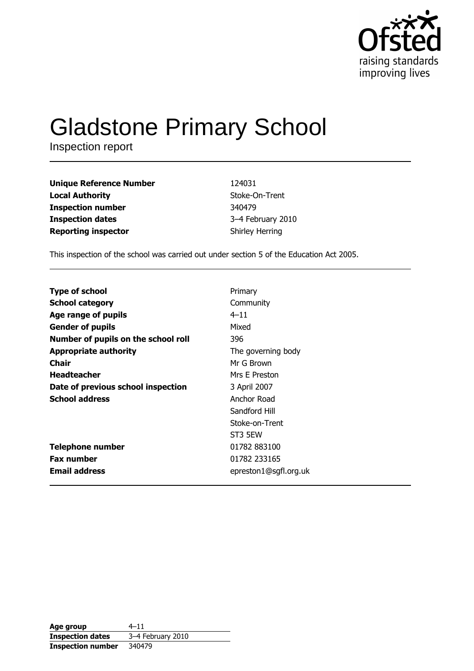

# **Gladstone Primary School**

Inspection report

| <b>Unique Reference Number</b> | 124031                 |
|--------------------------------|------------------------|
| <b>Local Authority</b>         | Stoke-On-Trent         |
| <b>Inspection number</b>       | 340479                 |
| <b>Inspection dates</b>        | 3-4 February 2010      |
| <b>Reporting inspector</b>     | <b>Shirley Herring</b> |

This inspection of the school was carried out under section 5 of the Education Act 2005.

| <b>Type of school</b>               | Primary               |
|-------------------------------------|-----------------------|
| <b>School category</b>              | Community             |
| Age range of pupils                 | $4 - 11$              |
| <b>Gender of pupils</b>             | Mixed                 |
| Number of pupils on the school roll | 396                   |
| <b>Appropriate authority</b>        | The governing body    |
| Chair                               | Mr G Brown            |
| <b>Headteacher</b>                  | Mrs E Preston         |
| Date of previous school inspection  | 3 April 2007          |
| <b>School address</b>               | Anchor Road           |
|                                     | Sandford Hill         |
|                                     | Stoke-on-Trent        |
|                                     | ST3 5EW               |
| <b>Telephone number</b>             | 01782 883100          |
| <b>Fax number</b>                   | 01782 233165          |
| <b>Email address</b>                | epreston1@sgfl.org.uk |
|                                     |                       |

| Age group                | $4 - 11$          |
|--------------------------|-------------------|
| <b>Inspection dates</b>  | 3-4 February 2010 |
| <b>Inspection number</b> | 340479            |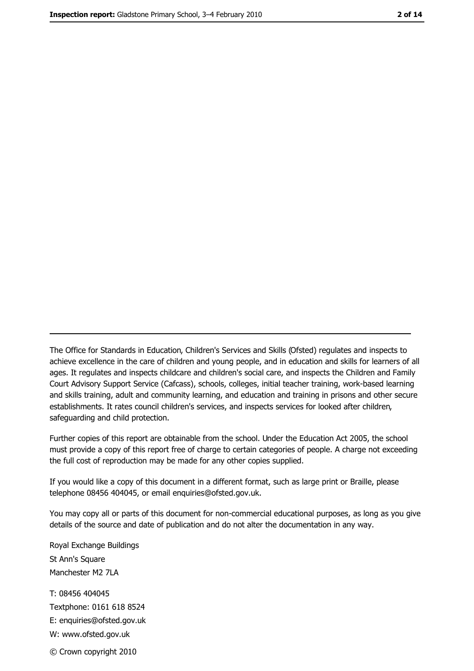The Office for Standards in Education, Children's Services and Skills (Ofsted) regulates and inspects to achieve excellence in the care of children and young people, and in education and skills for learners of all ages. It regulates and inspects childcare and children's social care, and inspects the Children and Family Court Advisory Support Service (Cafcass), schools, colleges, initial teacher training, work-based learning and skills training, adult and community learning, and education and training in prisons and other secure establishments. It rates council children's services, and inspects services for looked after children, safequarding and child protection.

Further copies of this report are obtainable from the school. Under the Education Act 2005, the school must provide a copy of this report free of charge to certain categories of people. A charge not exceeding the full cost of reproduction may be made for any other copies supplied.

If you would like a copy of this document in a different format, such as large print or Braille, please telephone 08456 404045, or email enquiries@ofsted.gov.uk.

You may copy all or parts of this document for non-commercial educational purposes, as long as you give details of the source and date of publication and do not alter the documentation in any way.

Royal Exchange Buildings St Ann's Square Manchester M2 7LA T: 08456 404045 Textphone: 0161 618 8524 E: enquiries@ofsted.gov.uk W: www.ofsted.gov.uk © Crown copyright 2010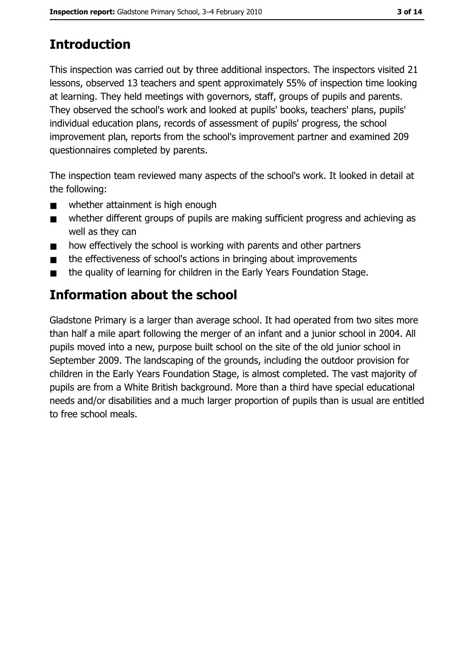# **Introduction**

This inspection was carried out by three additional inspectors. The inspectors visited 21 lessons, observed 13 teachers and spent approximately 55% of inspection time looking at learning. They held meetings with governors, staff, groups of pupils and parents. They observed the school's work and looked at pupils' books, teachers' plans, pupils' individual education plans, records of assessment of pupils' progress, the school improvement plan, reports from the school's improvement partner and examined 209 questionnaires completed by parents.

The inspection team reviewed many aspects of the school's work. It looked in detail at the following:

- whether attainment is high enough  $\blacksquare$
- whether different groups of pupils are making sufficient progress and achieving as  $\blacksquare$ well as they can
- how effectively the school is working with parents and other partners  $\blacksquare$
- the effectiveness of school's actions in bringing about improvements  $\blacksquare$
- the quality of learning for children in the Early Years Foundation Stage.  $\blacksquare$

# Information about the school

Gladstone Primary is a larger than average school. It had operated from two sites more than half a mile apart following the merger of an infant and a junior school in 2004. All pupils moved into a new, purpose built school on the site of the old junior school in September 2009. The landscaping of the grounds, including the outdoor provision for children in the Early Years Foundation Stage, is almost completed. The vast majority of pupils are from a White British background. More than a third have special educational needs and/or disabilities and a much larger proportion of pupils than is usual are entitled to free school meals.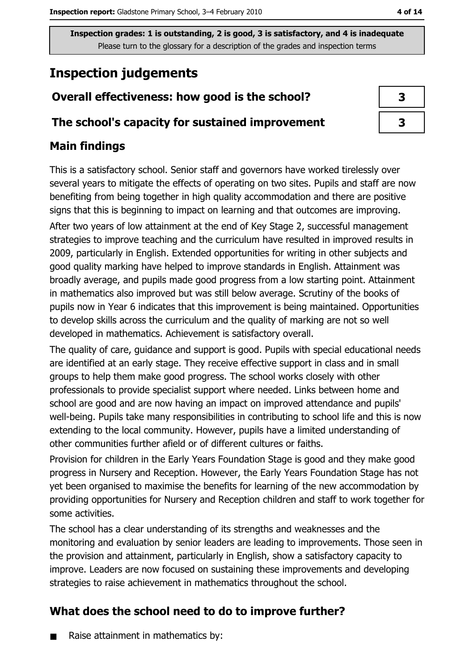# **Inspection judgements**

# Overall effectiveness: how good is the school?

### The school's capacity for sustained improvement

## **Main findings**

This is a satisfactory school. Senior staff and governors have worked tirelessly over several years to mitigate the effects of operating on two sites. Pupils and staff are now benefiting from being together in high quality accommodation and there are positive signs that this is beginning to impact on learning and that outcomes are improving. After two years of low attainment at the end of Key Stage 2, successful management strategies to improve teaching and the curriculum have resulted in improved results in 2009, particularly in English. Extended opportunities for writing in other subjects and good quality marking have helped to improve standards in English. Attainment was broadly average, and pupils made good progress from a low starting point. Attainment in mathematics also improved but was still below average. Scrutiny of the books of pupils now in Year 6 indicates that this improvement is being maintained. Opportunities to develop skills across the curriculum and the quality of marking are not so well developed in mathematics. Achievement is satisfactory overall.

The quality of care, guidance and support is good. Pupils with special educational needs are identified at an early stage. They receive effective support in class and in small groups to help them make good progress. The school works closely with other professionals to provide specialist support where needed. Links between home and school are good and are now having an impact on improved attendance and pupils' well-being. Pupils take many responsibilities in contributing to school life and this is now extending to the local community. However, pupils have a limited understanding of other communities further afield or of different cultures or faiths.

Provision for children in the Early Years Foundation Stage is good and they make good progress in Nursery and Reception. However, the Early Years Foundation Stage has not yet been organised to maximise the benefits for learning of the new accommodation by providing opportunities for Nursery and Reception children and staff to work together for some activities.

The school has a clear understanding of its strengths and weaknesses and the monitoring and evaluation by senior leaders are leading to improvements. Those seen in the provision and attainment, particularly in English, show a satisfactory capacity to improve. Leaders are now focused on sustaining these improvements and developing strategies to raise achievement in mathematics throughout the school.

# What does the school need to do to improve further?

Raise attainment in mathematics by:  $\blacksquare$ 

| 3 |  |
|---|--|
| ₹ |  |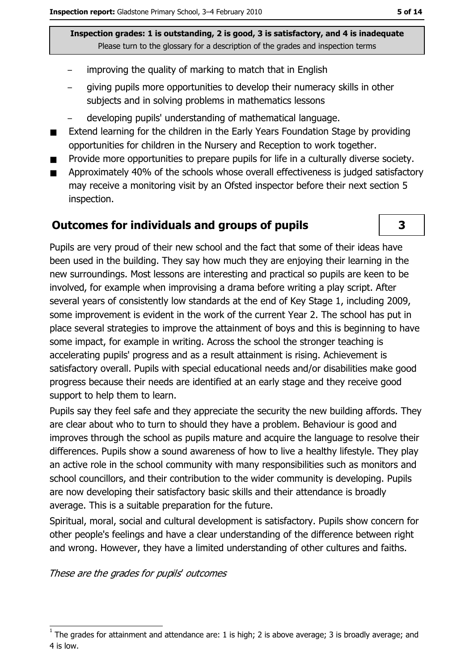- improving the quality of marking to match that in English
- giving pupils more opportunities to develop their numeracy skills in other subjects and in solving problems in mathematics lessons
- developing pupils' understanding of mathematical language.
- Extend learning for the children in the Early Years Foundation Stage by providing  $\blacksquare$ opportunities for children in the Nursery and Reception to work together.
- Provide more opportunities to prepare pupils for life in a culturally diverse society.
- Approximately 40% of the schools whose overall effectiveness is judged satisfactory  $\blacksquare$ may receive a monitoring visit by an Ofsted inspector before their next section 5 inspection.

### **Outcomes for individuals and groups of pupils**



Pupils are very proud of their new school and the fact that some of their ideas have been used in the building. They say how much they are enjoying their learning in the new surroundings. Most lessons are interesting and practical so pupils are keen to be involved, for example when improvising a drama before writing a play script. After several years of consistently low standards at the end of Key Stage 1, including 2009, some improvement is evident in the work of the current Year 2. The school has put in place several strategies to improve the attainment of boys and this is beginning to have some impact, for example in writing. Across the school the stronger teaching is accelerating pupils' progress and as a result attainment is rising. Achievement is satisfactory overall. Pupils with special educational needs and/or disabilities make good progress because their needs are identified at an early stage and they receive good support to help them to learn.

Pupils say they feel safe and they appreciate the security the new building affords. They are clear about who to turn to should they have a problem. Behaviour is good and improves through the school as pupils mature and acquire the language to resolve their differences. Pupils show a sound awareness of how to live a healthy lifestyle. They play an active role in the school community with many responsibilities such as monitors and school councillors, and their contribution to the wider community is developing. Pupils are now developing their satisfactory basic skills and their attendance is broadly average. This is a suitable preparation for the future.

Spiritual, moral, social and cultural development is satisfactory. Pupils show concern for other people's feelings and have a clear understanding of the difference between right and wrong. However, they have a limited understanding of other cultures and faiths.

These are the grades for pupils' outcomes

The grades for attainment and attendance are: 1 is high; 2 is above average; 3 is broadly average; and 4 is low.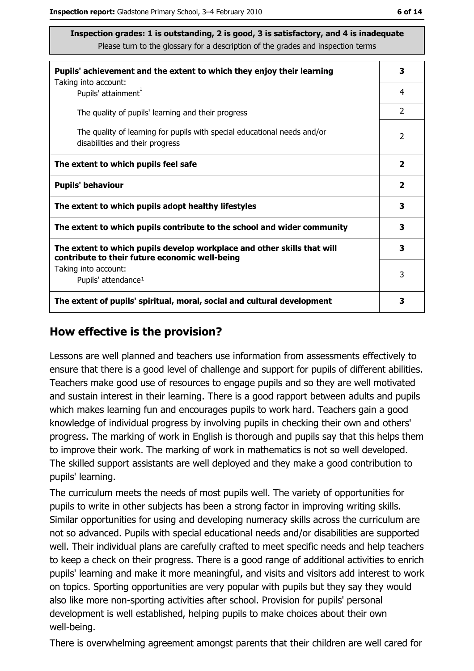| Pupils' achievement and the extent to which they enjoy their learning                                                     |                         |  |  |
|---------------------------------------------------------------------------------------------------------------------------|-------------------------|--|--|
| Taking into account:<br>Pupils' attainment <sup>1</sup>                                                                   | 4                       |  |  |
| The quality of pupils' learning and their progress                                                                        | $\mathcal{P}$           |  |  |
| The quality of learning for pupils with special educational needs and/or<br>disabilities and their progress               |                         |  |  |
| The extent to which pupils feel safe                                                                                      | $\mathbf{2}$            |  |  |
| <b>Pupils' behaviour</b>                                                                                                  | $\overline{\mathbf{2}}$ |  |  |
| The extent to which pupils adopt healthy lifestyles                                                                       |                         |  |  |
| The extent to which pupils contribute to the school and wider community                                                   |                         |  |  |
| The extent to which pupils develop workplace and other skills that will<br>contribute to their future economic well-being |                         |  |  |
| Taking into account:<br>Pupils' attendance <sup>1</sup>                                                                   | 3                       |  |  |
| The extent of pupils' spiritual, moral, social and cultural development                                                   |                         |  |  |

### How effective is the provision?

Lessons are well planned and teachers use information from assessments effectively to ensure that there is a good level of challenge and support for pupils of different abilities. Teachers make good use of resources to engage pupils and so they are well motivated and sustain interest in their learning. There is a good rapport between adults and pupils which makes learning fun and encourages pupils to work hard. Teachers gain a good knowledge of individual progress by involving pupils in checking their own and others' progress. The marking of work in English is thorough and pupils say that this helps them to improve their work. The marking of work in mathematics is not so well developed. The skilled support assistants are well deployed and they make a good contribution to pupils' learning.

The curriculum meets the needs of most pupils well. The variety of opportunities for pupils to write in other subjects has been a strong factor in improving writing skills. Similar opportunities for using and developing numeracy skills across the curriculum are not so advanced. Pupils with special educational needs and/or disabilities are supported well. Their individual plans are carefully crafted to meet specific needs and help teachers to keep a check on their progress. There is a good range of additional activities to enrich pupils' learning and make it more meaningful, and visits and visitors add interest to work on topics. Sporting opportunities are very popular with pupils but they say they would also like more non-sporting activities after school. Provision for pupils' personal development is well established, helping pupils to make choices about their own well-being.

There is overwhelming agreement amongst parents that their children are well cared for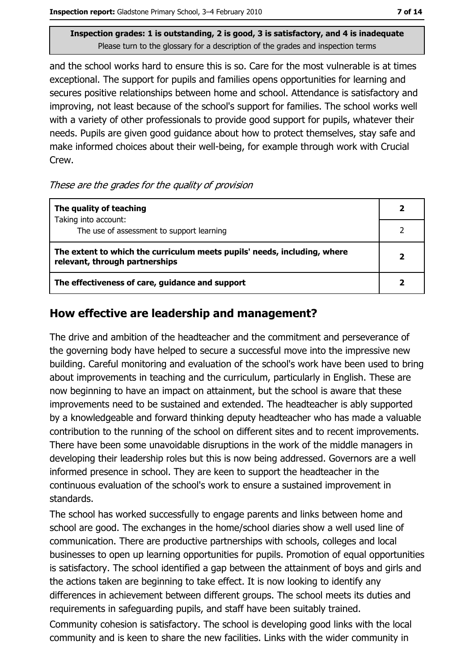and the school works hard to ensure this is so. Care for the most vulnerable is at times exceptional. The support for pupils and families opens opportunities for learning and secures positive relationships between home and school. Attendance is satisfactory and improving, not least because of the school's support for families. The school works well with a variety of other professionals to provide good support for pupils, whatever their needs. Pupils are given good guidance about how to protect themselves, stay safe and make informed choices about their well-being, for example through work with Crucial Crew.

#### These are the grades for the quality of provision

| The quality of teaching                                                                                    |  |
|------------------------------------------------------------------------------------------------------------|--|
| Taking into account:<br>The use of assessment to support learning                                          |  |
|                                                                                                            |  |
| The extent to which the curriculum meets pupils' needs, including, where<br>relevant, through partnerships |  |
| The effectiveness of care, guidance and support                                                            |  |

### How effective are leadership and management?

The drive and ambition of the headteacher and the commitment and perseverance of the governing body have helped to secure a successful move into the impressive new building. Careful monitoring and evaluation of the school's work have been used to bring about improvements in teaching and the curriculum, particularly in English. These are now beginning to have an impact on attainment, but the school is aware that these improvements need to be sustained and extended. The headteacher is ably supported by a knowledgeable and forward thinking deputy headteacher who has made a valuable contribution to the running of the school on different sites and to recent improvements. There have been some unavoidable disruptions in the work of the middle managers in developing their leadership roles but this is now being addressed. Governors are a well informed presence in school. They are keen to support the headteacher in the continuous evaluation of the school's work to ensure a sustained improvement in standards.

The school has worked successfully to engage parents and links between home and school are good. The exchanges in the home/school diaries show a well used line of communication. There are productive partnerships with schools, colleges and local businesses to open up learning opportunities for pupils. Promotion of equal opportunities is satisfactory. The school identified a gap between the attainment of boys and girls and the actions taken are beginning to take effect. It is now looking to identify any differences in achievement between different groups. The school meets its duties and requirements in safequarding pupils, and staff have been suitably trained.

Community cohesion is satisfactory. The school is developing good links with the local community and is keen to share the new facilities. Links with the wider community in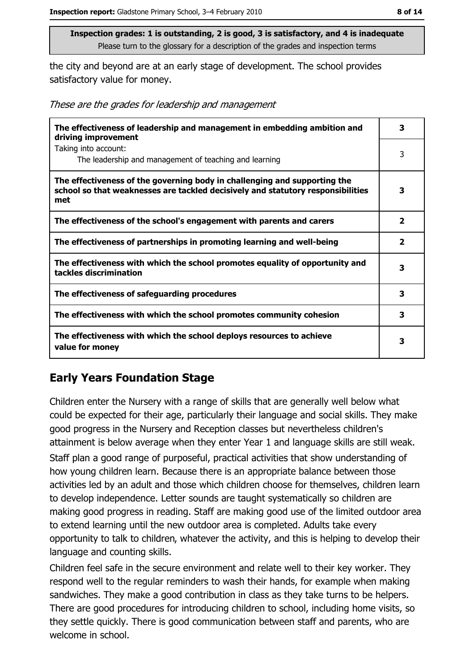the city and beyond are at an early stage of development. The school provides satisfactory value for money.

|  |  |  | These are the grades for leadership and management |
|--|--|--|----------------------------------------------------|
|  |  |  |                                                    |

| The effectiveness of leadership and management in embedding ambition and<br>driving improvement                                                                     | 3                       |
|---------------------------------------------------------------------------------------------------------------------------------------------------------------------|-------------------------|
| Taking into account:<br>The leadership and management of teaching and learning                                                                                      | 3                       |
| The effectiveness of the governing body in challenging and supporting the<br>school so that weaknesses are tackled decisively and statutory responsibilities<br>met | 3                       |
| The effectiveness of the school's engagement with parents and carers                                                                                                | 2                       |
| The effectiveness of partnerships in promoting learning and well-being                                                                                              | $\overline{\mathbf{2}}$ |
| The effectiveness with which the school promotes equality of opportunity and<br>tackles discrimination                                                              | 3                       |
| The effectiveness of safeguarding procedures                                                                                                                        | 3                       |
| The effectiveness with which the school promotes community cohesion                                                                                                 | 3                       |
| The effectiveness with which the school deploys resources to achieve<br>value for money                                                                             | 3                       |

# **Early Years Foundation Stage**

Children enter the Nursery with a range of skills that are generally well below what could be expected for their age, particularly their language and social skills. They make good progress in the Nursery and Reception classes but nevertheless children's attainment is below average when they enter Year 1 and language skills are still weak. Staff plan a good range of purposeful, practical activities that show understanding of how young children learn. Because there is an appropriate balance between those activities led by an adult and those which children choose for themselves, children learn to develop independence. Letter sounds are taught systematically so children are making good progress in reading. Staff are making good use of the limited outdoor area to extend learning until the new outdoor area is completed. Adults take every opportunity to talk to children, whatever the activity, and this is helping to develop their language and counting skills.

Children feel safe in the secure environment and relate well to their key worker. They respond well to the regular reminders to wash their hands, for example when making sandwiches. They make a good contribution in class as they take turns to be helpers. There are good procedures for introducing children to school, including home visits, so they settle quickly. There is good communication between staff and parents, who are welcome in school.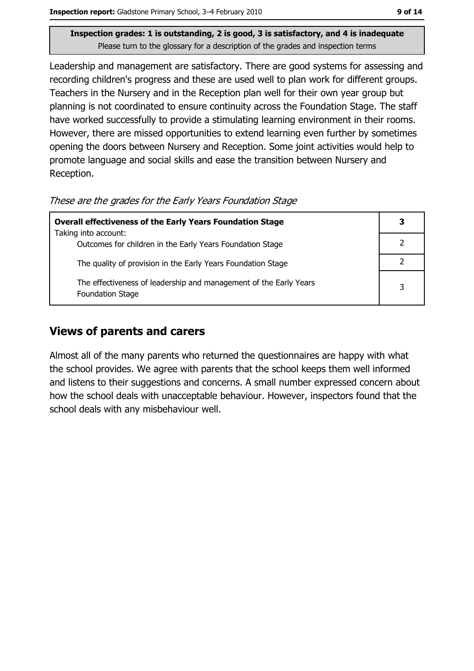Leadership and management are satisfactory. There are good systems for assessing and recording children's progress and these are used well to plan work for different groups. Teachers in the Nursery and in the Reception plan well for their own year group but planning is not coordinated to ensure continuity across the Foundation Stage. The staff have worked successfully to provide a stimulating learning environment in their rooms. However, there are missed opportunities to extend learning even further by sometimes opening the doors between Nursery and Reception. Some joint activities would help to promote language and social skills and ease the transition between Nursery and Reception.

These are the grades for the Early Years Foundation Stage

| <b>Overall effectiveness of the Early Years Foundation Stage</b>                             |   |  |
|----------------------------------------------------------------------------------------------|---|--|
| Taking into account:                                                                         |   |  |
| Outcomes for children in the Early Years Foundation Stage                                    |   |  |
| The quality of provision in the Early Years Foundation Stage                                 |   |  |
| The effectiveness of leadership and management of the Early Years<br><b>Foundation Stage</b> | 3 |  |

### **Views of parents and carers**

Almost all of the many parents who returned the questionnaires are happy with what the school provides. We agree with parents that the school keeps them well informed and listens to their suggestions and concerns. A small number expressed concern about how the school deals with unacceptable behaviour. However, inspectors found that the school deals with any misbehaviour well.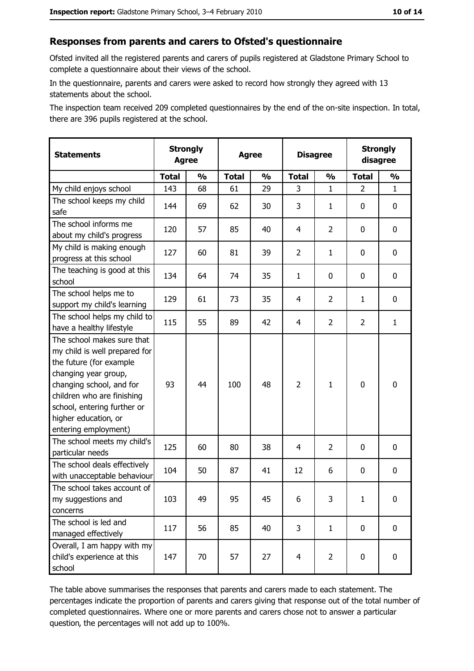#### Responses from parents and carers to Ofsted's questionnaire

Ofsted invited all the registered parents and carers of pupils registered at Gladstone Primary School to complete a questionnaire about their views of the school.

In the questionnaire, parents and carers were asked to record how strongly they agreed with 13 statements about the school.

The inspection team received 209 completed questionnaires by the end of the on-site inspection. In total, there are 396 pupils registered at the school.

| <b>Statements</b>                                                                                                                                                                                                                                       | <b>Strongly</b><br><b>Agree</b> | <b>Strongly</b><br><b>Disagree</b><br><b>Agree</b><br>disagree |              |               |                |                |                |               |
|---------------------------------------------------------------------------------------------------------------------------------------------------------------------------------------------------------------------------------------------------------|---------------------------------|----------------------------------------------------------------|--------------|---------------|----------------|----------------|----------------|---------------|
|                                                                                                                                                                                                                                                         | <b>Total</b>                    | $\frac{1}{2}$                                                  | <b>Total</b> | $\frac{0}{0}$ | <b>Total</b>   | $\frac{1}{2}$  | <b>Total</b>   | $\frac{1}{2}$ |
| My child enjoys school                                                                                                                                                                                                                                  | 143                             | 68                                                             | 61           | 29            | 3              | $\mathbf{1}$   | $\overline{2}$ | $\mathbf{1}$  |
| The school keeps my child<br>safe                                                                                                                                                                                                                       | 144                             | 69                                                             | 62           | 30            | 3              | 1              | 0              | $\mathbf 0$   |
| The school informs me<br>about my child's progress                                                                                                                                                                                                      | 120                             | 57                                                             | 85           | 40            | 4              | 2              | 0              | $\mathbf 0$   |
| My child is making enough<br>progress at this school                                                                                                                                                                                                    | 127                             | 60                                                             | 81           | 39            | $\overline{2}$ | $\mathbf{1}$   | 0              | 0             |
| The teaching is good at this<br>school                                                                                                                                                                                                                  | 134                             | 64                                                             | 74           | 35            | $\mathbf{1}$   | 0              | 0              | 0             |
| The school helps me to<br>support my child's learning                                                                                                                                                                                                   | 129                             | 61                                                             | 73           | 35            | 4              | $\overline{2}$ | 1              | 0             |
| The school helps my child to<br>have a healthy lifestyle                                                                                                                                                                                                | 115                             | 55                                                             | 89           | 42            | 4              | $\overline{2}$ | $\overline{2}$ | $\mathbf{1}$  |
| The school makes sure that<br>my child is well prepared for<br>the future (for example<br>changing year group,<br>changing school, and for<br>children who are finishing<br>school, entering further or<br>higher education, or<br>entering employment) | 93                              | 44                                                             | 100          | 48            | $\overline{2}$ | $\mathbf{1}$   | $\mathbf 0$    | $\mathbf 0$   |
| The school meets my child's<br>particular needs                                                                                                                                                                                                         | 125                             | 60                                                             | 80           | 38            | 4              | $\overline{2}$ | 0              | 0             |
| The school deals effectively<br>with unacceptable behaviour                                                                                                                                                                                             | 104                             | 50                                                             | 87           | 41            | 12             | 6              | 0              | $\mathbf 0$   |
| The school takes account of<br>my suggestions and<br>concerns                                                                                                                                                                                           | 103                             | 49                                                             | 95           | 45            | 6              | 3              | $\mathbf{1}$   | 0             |
| The school is led and<br>managed effectively                                                                                                                                                                                                            | 117                             | 56                                                             | 85           | 40            | 3              | $\mathbf{1}$   | $\mathbf 0$    | $\mathbf 0$   |
| Overall, I am happy with my<br>child's experience at this<br>school                                                                                                                                                                                     | 147                             | 70                                                             | 57           | 27            | $\overline{4}$ | $\overline{2}$ | $\mathbf 0$    | $\mathbf 0$   |

The table above summarises the responses that parents and carers made to each statement. The percentages indicate the proportion of parents and carers giving that response out of the total number of completed questionnaires. Where one or more parents and carers chose not to answer a particular question, the percentages will not add up to 100%.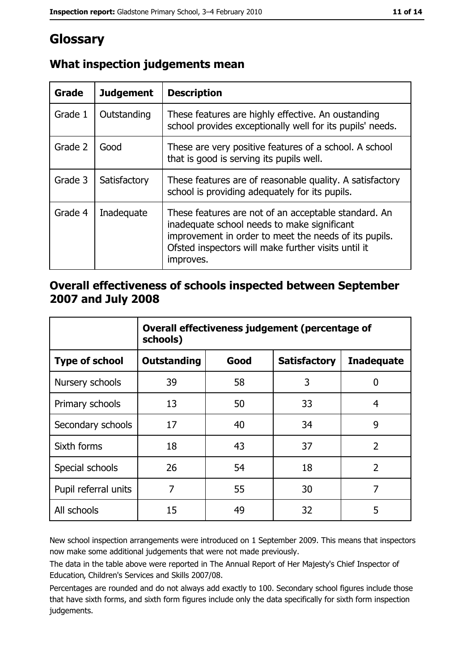# Glossary

| <b>Grade</b> | <b>Judgement</b> | <b>Description</b>                                                                                                                                                                                                               |
|--------------|------------------|----------------------------------------------------------------------------------------------------------------------------------------------------------------------------------------------------------------------------------|
| Grade 1      | Outstanding      | These features are highly effective. An oustanding<br>school provides exceptionally well for its pupils' needs.                                                                                                                  |
| Grade 2      | Good             | These are very positive features of a school. A school<br>that is good is serving its pupils well.                                                                                                                               |
| Grade 3      | Satisfactory     | These features are of reasonable quality. A satisfactory<br>school is providing adequately for its pupils.                                                                                                                       |
| Grade 4      | Inadequate       | These features are not of an acceptable standard. An<br>inadequate school needs to make significant<br>improvement in order to meet the needs of its pupils.<br>Ofsted inspectors will make further visits until it<br>improves. |

# What inspection judgements mean

## Overall effectiveness of schools inspected between September 2007 and July 2008

|                       | Overall effectiveness judgement (percentage of<br>schools) |      |                     |                   |  |
|-----------------------|------------------------------------------------------------|------|---------------------|-------------------|--|
| <b>Type of school</b> | Outstanding                                                | Good | <b>Satisfactory</b> | <b>Inadequate</b> |  |
| Nursery schools       | 39                                                         | 58   | 3                   | 0                 |  |
| Primary schools       | 13                                                         | 50   | 33                  | 4                 |  |
| Secondary schools     | 17                                                         | 40   | 34                  | 9                 |  |
| Sixth forms           | 18                                                         | 43   | 37                  | $\overline{2}$    |  |
| Special schools       | 26                                                         | 54   | 18                  | $\overline{2}$    |  |
| Pupil referral units  | 7                                                          | 55   | 30                  | 7                 |  |
| All schools           | 15                                                         | 49   | 32                  | 5                 |  |

New school inspection arrangements were introduced on 1 September 2009. This means that inspectors now make some additional judgements that were not made previously.

The data in the table above were reported in The Annual Report of Her Majesty's Chief Inspector of Education, Children's Services and Skills 2007/08.

Percentages are rounded and do not always add exactly to 100. Secondary school figures include those that have sixth forms, and sixth form figures include only the data specifically for sixth form inspection judgements.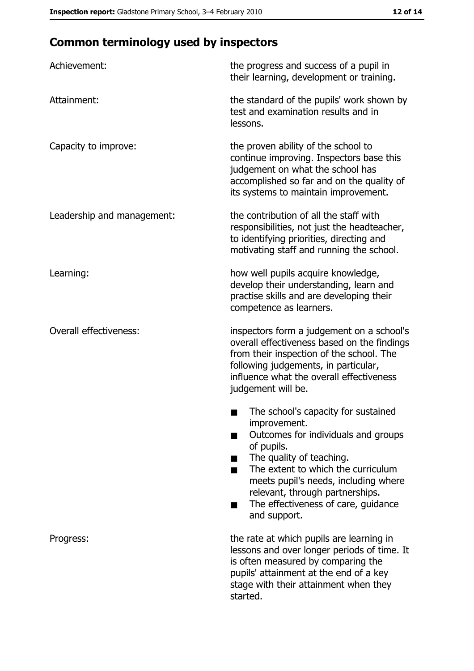# **Common terminology used by inspectors**

| Achievement:                  | the progress and success of a pupil in<br>their learning, development or training.                                                                                                                                                                                                                           |
|-------------------------------|--------------------------------------------------------------------------------------------------------------------------------------------------------------------------------------------------------------------------------------------------------------------------------------------------------------|
| Attainment:                   | the standard of the pupils' work shown by<br>test and examination results and in<br>lessons.                                                                                                                                                                                                                 |
| Capacity to improve:          | the proven ability of the school to<br>continue improving. Inspectors base this<br>judgement on what the school has<br>accomplished so far and on the quality of<br>its systems to maintain improvement.                                                                                                     |
| Leadership and management:    | the contribution of all the staff with<br>responsibilities, not just the headteacher,<br>to identifying priorities, directing and<br>motivating staff and running the school.                                                                                                                                |
| Learning:                     | how well pupils acquire knowledge,<br>develop their understanding, learn and<br>practise skills and are developing their<br>competence as learners.                                                                                                                                                          |
| <b>Overall effectiveness:</b> | inspectors form a judgement on a school's<br>overall effectiveness based on the findings<br>from their inspection of the school. The<br>following judgements, in particular,<br>influence what the overall effectiveness<br>judgement will be.                                                               |
|                               | The school's capacity for sustained<br>improvement.<br>Outcomes for individuals and groups<br>of pupils.<br>The quality of teaching.<br>The extent to which the curriculum<br>meets pupil's needs, including where<br>relevant, through partnerships.<br>The effectiveness of care, guidance<br>and support. |
| Progress:                     | the rate at which pupils are learning in<br>lessons and over longer periods of time. It<br>is often measured by comparing the<br>pupils' attainment at the end of a key<br>stage with their attainment when they<br>started.                                                                                 |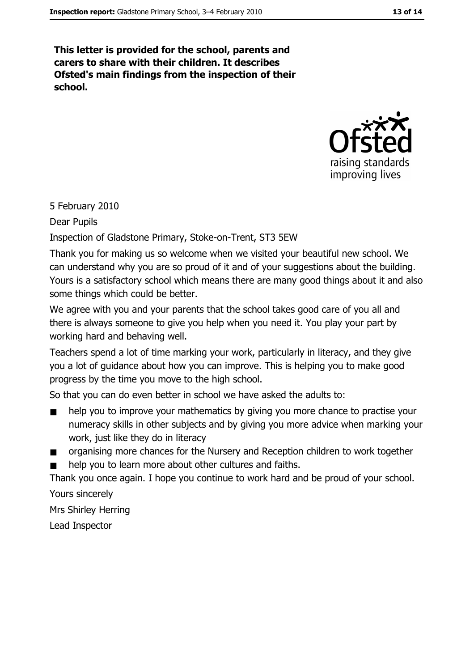This letter is provided for the school, parents and carers to share with their children. It describes Ofsted's main findings from the inspection of their school.



5 February 2010

Dear Pupils

Inspection of Gladstone Primary, Stoke-on-Trent, ST3 5EW

Thank you for making us so welcome when we visited your beautiful new school. We can understand why you are so proud of it and of your suggestions about the building. Yours is a satisfactory school which means there are many good things about it and also some things which could be better.

We agree with you and your parents that the school takes good care of you all and there is always someone to give you help when you need it. You play your part by working hard and behaving well.

Teachers spend a lot of time marking your work, particularly in literacy, and they give you a lot of quidance about how you can improve. This is helping you to make good progress by the time you move to the high school.

So that you can do even better in school we have asked the adults to:

- help you to improve your mathematics by giving you more chance to practise your  $\blacksquare$ numeracy skills in other subjects and by giving you more advice when marking your work, just like they do in literacy
- organising more chances for the Nursery and Reception children to work together  $\blacksquare$
- help you to learn more about other cultures and faiths.

Thank you once again. I hope you continue to work hard and be proud of your school.

Yours sincerely

**Mrs Shirley Herring** 

Lead Inspector